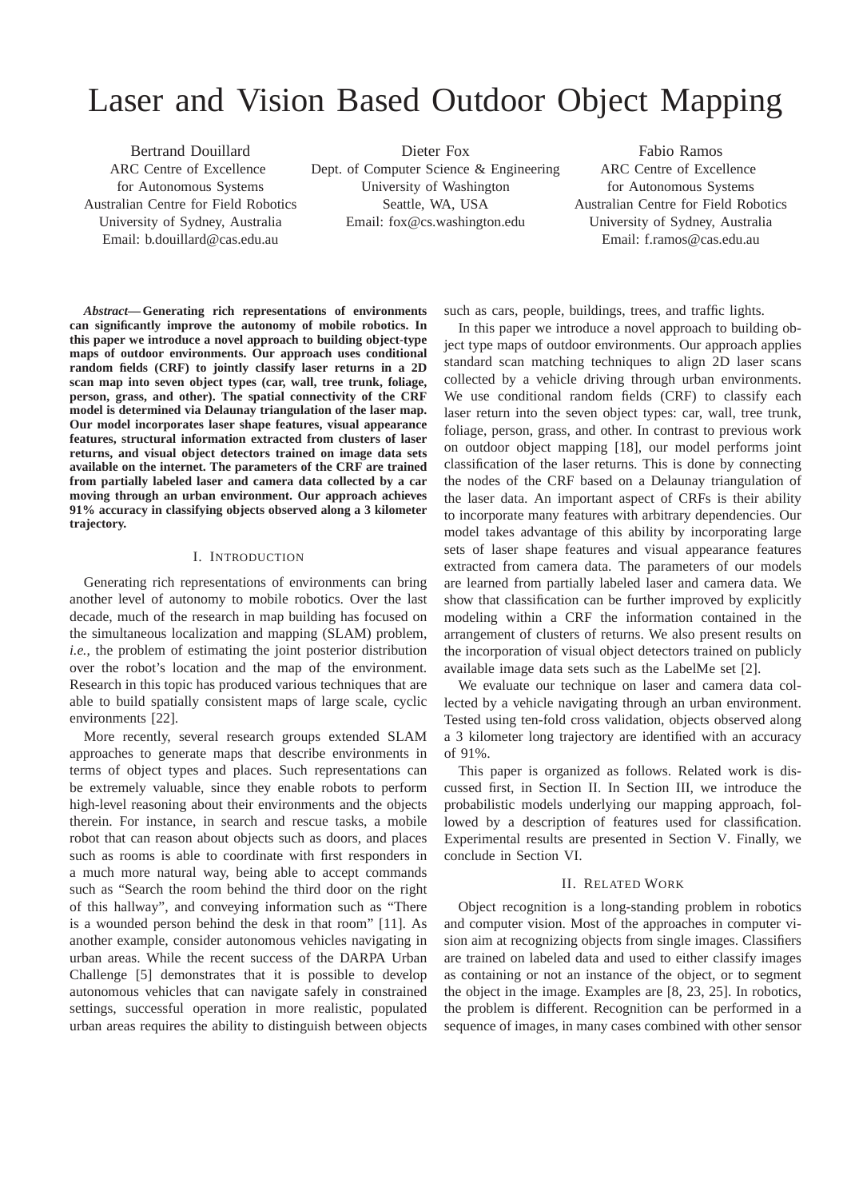# Laser and Vision Based Outdoor Object Mapping

Bertrand Douillard ARC Centre of Excellence for Autonomous Systems Australian Centre for Field Robotics University of Sydney, Australia Email: b.douillard@cas.edu.au

Dieter Fox Dept. of Computer Science & Engineering University of Washington Seattle, WA, USA Email: fox@cs.washington.edu

Fabio Ramos ARC Centre of Excellence for Autonomous Systems Australian Centre for Field Robotics University of Sydney, Australia Email: f.ramos@cas.edu.au

*Abstract***— Generating rich representations of environments can significantly improve the autonomy of mobile robotics. In this paper we introduce a novel approach to building object-type maps of outdoor environments. Our approach uses conditional random fields (CRF) to jointly classify laser returns in a 2D scan map into seven object types (car, wall, tree trunk, foliage, person, grass, and other). The spatial connectivity of the CRF model is determined via Delaunay triangulation of the laser map. Our model incorporates laser shape features, visual appearance features, structural information extracted from clusters of laser returns, and visual object detectors trained on image data sets available on the internet. The parameters of the CRF are trained from partially labeled laser and camera data collected by a car moving through an urban environment. Our approach achieves 91% accuracy in classifying objects observed along a 3 kilometer trajectory.**

# I. INTRODUCTION

Generating rich representations of environments can bring another level of autonomy to mobile robotics. Over the last decade, much of the research in map building has focused on the simultaneous localization and mapping (SLAM) problem, *i.e.*, the problem of estimating the joint posterior distribution over the robot's location and the map of the environment. Research in this topic has produced various techniques that are able to build spatially consistent maps of large scale, cyclic environments [22].

More recently, several research groups extended SLAM approaches to generate maps that describe environments in terms of object types and places. Such representations can be extremely valuable, since they enable robots to perform high-level reasoning about their environments and the objects therein. For instance, in search and rescue tasks, a mobile robot that can reason about objects such as doors, and places such as rooms is able to coordinate with first responders in a much more natural way, being able to accept commands such as "Search the room behind the third door on the right of this hallway", and conveying information such as "There is a wounded person behind the desk in that room" [11]. As another example, consider autonomous vehicles navigating in urban areas. While the recent success of the DARPA Urban Challenge [5] demonstrates that it is possible to develop autonomous vehicles that can navigate safely in constrained settings, successful operation in more realistic, populated urban areas requires the ability to distinguish between objects

such as cars, people, buildings, trees, and traffic lights.

In this paper we introduce a novel approach to building object type maps of outdoor environments. Our approach applies standard scan matching techniques to align 2D laser scans collected by a vehicle driving through urban environments. We use conditional random fields (CRF) to classify each laser return into the seven object types: car, wall, tree trunk, foliage, person, grass, and other. In contrast to previous work on outdoor object mapping [18], our model performs joint classification of the laser returns. This is done by connecting the nodes of the CRF based on a Delaunay triangulation of the laser data. An important aspect of CRFs is their ability to incorporate many features with arbitrary dependencies. Our model takes advantage of this ability by incorporating large sets of laser shape features and visual appearance features extracted from camera data. The parameters of our models are learned from partially labeled laser and camera data. We show that classification can be further improved by explicitly modeling within a CRF the information contained in the arrangement of clusters of returns. We also present results on the incorporation of visual object detectors trained on publicly available image data sets such as the LabelMe set [2].

We evaluate our technique on laser and camera data collected by a vehicle navigating through an urban environment. Tested using ten-fold cross validation, objects observed along a 3 kilometer long trajectory are identified with an accuracy of 91%.

This paper is organized as follows. Related work is discussed first, in Section II. In Section III, we introduce the probabilistic models underlying our mapping approach, followed by a description of features used for classification. Experimental results are presented in Section V. Finally, we conclude in Section VI.

# II. RELATED WORK

Object recognition is a long-standing problem in robotics and computer vision. Most of the approaches in computer vision aim at recognizing objects from single images. Classifiers are trained on labeled data and used to either classify images as containing or not an instance of the object, or to segment the object in the image. Examples are [8, 23, 25]. In robotics, the problem is different. Recognition can be performed in a sequence of images, in many cases combined with other sensor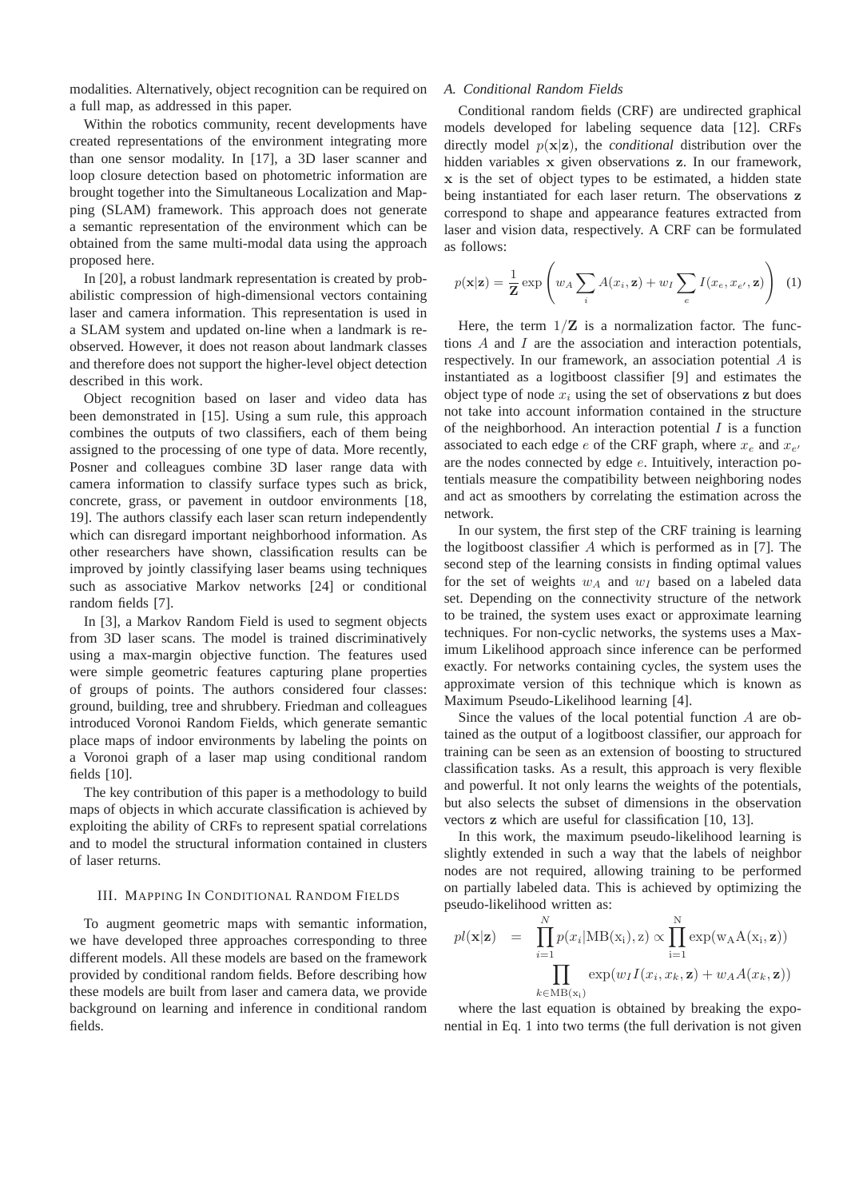modalities. Alternatively, object recognition can be required on a full map, as addressed in this paper.

Within the robotics community, recent developments have created representations of the environment integrating more than one sensor modality. In [17], a 3D laser scanner and loop closure detection based on photometric information are brought together into the Simultaneous Localization and Mapping (SLAM) framework. This approach does not generate a semantic representation of the environment which can be obtained from the same multi-modal data using the approach proposed here.

In [20], a robust landmark representation is created by probabilistic compression of high-dimensional vectors containing laser and camera information. This representation is used in a SLAM system and updated on-line when a landmark is reobserved. However, it does not reason about landmark classes and therefore does not support the higher-level object detection described in this work.

Object recognition based on laser and video data has been demonstrated in [15]. Using a sum rule, this approach combines the outputs of two classifiers, each of them being assigned to the processing of one type of data. More recently, Posner and colleagues combine 3D laser range data with camera information to classify surface types such as brick, concrete, grass, or pavement in outdoor environments [18, 19]. The authors classify each laser scan return independently which can disregard important neighborhood information. As other researchers have shown, classification results can be improved by jointly classifying laser beams using techniques such as associative Markov networks [24] or conditional random fields [7].

In [3], a Markov Random Field is used to segment objects from 3D laser scans. The model is trained discriminatively using a max-margin objective function. The features used were simple geometric features capturing plane properties of groups of points. The authors considered four classes: ground, building, tree and shrubbery. Friedman and colleagues introduced Voronoi Random Fields, which generate semantic place maps of indoor environments by labeling the points on a Voronoi graph of a laser map using conditional random fields [10].

The key contribution of this paper is a methodology to build maps of objects in which accurate classification is achieved by exploiting the ability of CRFs to represent spatial correlations and to model the structural information contained in clusters of laser returns.

# III. MAPPING IN CONDITIONAL RANDOM FIELDS

To augment geometric maps with semantic information, we have developed three approaches corresponding to three different models. All these models are based on the framework provided by conditional random fields. Before describing how these models are built from laser and camera data, we provide background on learning and inference in conditional random fields.

# *A. Conditional Random Fields*

Conditional random fields (CRF) are undirected graphical models developed for labeling sequence data [12]. CRFs directly model p(x|z), the *conditional* distribution over the hidden variables x given observations z. In our framework, x is the set of object types to be estimated, a hidden state being instantiated for each laser return. The observations z correspond to shape and appearance features extracted from laser and vision data, respectively. A CRF can be formulated as follows:

$$
p(\mathbf{x}|\mathbf{z}) = \frac{1}{\mathbf{Z}} \exp\left(w_A \sum_i A(x_i, \mathbf{z}) + w_I \sum_e I(x_e, x_{e'}, \mathbf{z})\right) \tag{1}
$$

Here, the term  $1/Z$  is a normalization factor. The functions A and I are the association and interaction potentials, respectively. In our framework, an association potential A is instantiated as a logitboost classifier [9] and estimates the object type of node  $x_i$  using the set of observations z but does not take into account information contained in the structure of the neighborhood. An interaction potential  $I$  is a function associated to each edge  $e$  of the CRF graph, where  $x_e$  and  $x_{e'}$ are the nodes connected by edge e. Intuitively, interaction potentials measure the compatibility between neighboring nodes and act as smoothers by correlating the estimation across the network.

In our system, the first step of the CRF training is learning the logitboost classifier  $A$  which is performed as in [7]. The second step of the learning consists in finding optimal values for the set of weights  $w_A$  and  $w_I$  based on a labeled data set. Depending on the connectivity structure of the network to be trained, the system uses exact or approximate learning techniques. For non-cyclic networks, the systems uses a Maximum Likelihood approach since inference can be performed exactly. For networks containing cycles, the system uses the approximate version of this technique which is known as Maximum Pseudo-Likelihood learning [4].

Since the values of the local potential function A are obtained as the output of a logitboost classifier, our approach for training can be seen as an extension of boosting to structured classification tasks. As a result, this approach is very flexible and powerful. It not only learns the weights of the potentials, but also selects the subset of dimensions in the observation vectors z which are useful for classification [10, 13].

In this work, the maximum pseudo-likelihood learning is slightly extended in such a way that the labels of neighbor nodes are not required, allowing training to be performed on partially labeled data. This is achieved by optimizing the pseudo-likelihood written as:

$$
pl(\mathbf{x}|\mathbf{z}) = \prod_{i=1}^{N} p(x_i | MB(x_i), z) \propto \prod_{i=1}^{N} \exp(w_A A(x_i, \mathbf{z}))
$$

$$
\prod_{k \in MB(x_i)} \exp(w_I I(x_i, x_k, \mathbf{z}) + w_A A(x_k, \mathbf{z}))
$$

where the last equation is obtained by breaking the exponential in Eq. 1 into two terms (the full derivation is not given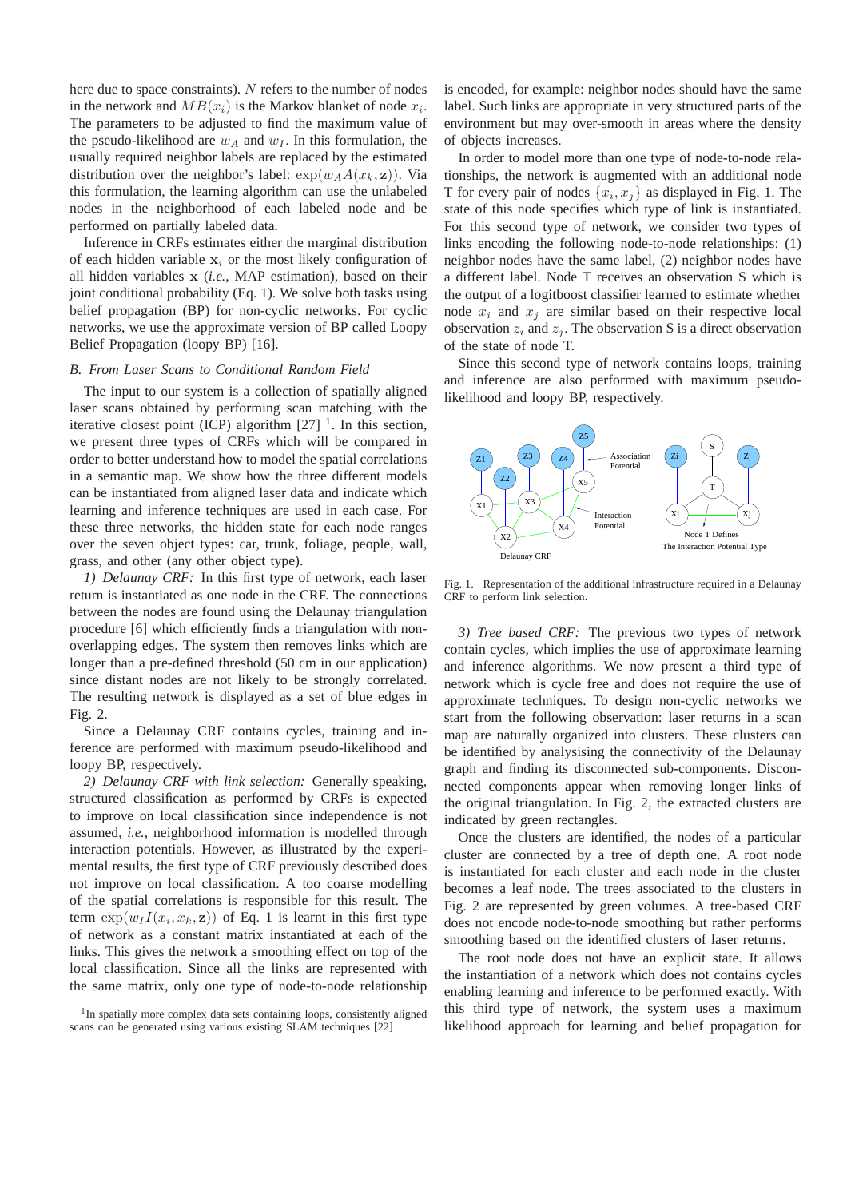here due to space constraints). N refers to the number of nodes in the network and  $MB(x_i)$  is the Markov blanket of node  $x_i$ . The parameters to be adjusted to find the maximum value of the pseudo-likelihood are  $w_A$  and  $w_I$ . In this formulation, the usually required neighbor labels are replaced by the estimated distribution over the neighbor's label:  $\exp(w_A A(x_k, \mathbf{z}))$ . Via this formulation, the learning algorithm can use the unlabeled nodes in the neighborhood of each labeled node and be performed on partially labeled data.

Inference in CRFs estimates either the marginal distribution of each hidden variable  $x_i$  or the most likely configuration of all hidden variables x (*i.e.*, MAP estimation), based on their joint conditional probability (Eq. 1). We solve both tasks using belief propagation (BP) for non-cyclic networks. For cyclic networks, we use the approximate version of BP called Loopy Belief Propagation (loopy BP) [16].

# *B. From Laser Scans to Conditional Random Field*

The input to our system is a collection of spatially aligned laser scans obtained by performing scan matching with the iterative closest point (ICP) algorithm  $[27]$ <sup>1</sup>. In this section, we present three types of CRFs which will be compared in order to better understand how to model the spatial correlations in a semantic map. We show how the three different models can be instantiated from aligned laser data and indicate which learning and inference techniques are used in each case. For these three networks, the hidden state for each node ranges over the seven object types: car, trunk, foliage, people, wall, grass, and other (any other object type).

*1) Delaunay CRF:* In this first type of network, each laser return is instantiated as one node in the CRF. The connections between the nodes are found using the Delaunay triangulation procedure [6] which efficiently finds a triangulation with nonoverlapping edges. The system then removes links which are longer than a pre-defined threshold (50 cm in our application) since distant nodes are not likely to be strongly correlated. The resulting network is displayed as a set of blue edges in Fig. 2.

Since a Delaunay CRF contains cycles, training and inference are performed with maximum pseudo-likelihood and loopy BP, respectively.

*2) Delaunay CRF with link selection:* Generally speaking, structured classification as performed by CRFs is expected to improve on local classification since independence is not assumed, *i.e.*, neighborhood information is modelled through interaction potentials. However, as illustrated by the experimental results, the first type of CRF previously described does not improve on local classification. A too coarse modelling of the spatial correlations is responsible for this result. The term  $\exp(w_I I(x_i, x_k, \mathbf{z}))$  of Eq. 1 is learnt in this first type of network as a constant matrix instantiated at each of the links. This gives the network a smoothing effect on top of the local classification. Since all the links are represented with the same matrix, only one type of node-to-node relationship

<sup>1</sup>In spatially more complex data sets containing loops, consistently aligned scans can be generated using various existing SLAM techniques [22]

is encoded, for example: neighbor nodes should have the same label. Such links are appropriate in very structured parts of the environment but may over-smooth in areas where the density of objects increases.

In order to model more than one type of node-to-node relationships, the network is augmented with an additional node T for every pair of nodes  $\{x_i, x_j\}$  as displayed in Fig. 1. The state of this node specifies which type of link is instantiated. For this second type of network, we consider two types of links encoding the following node-to-node relationships: (1) neighbor nodes have the same label, (2) neighbor nodes have a different label. Node T receives an observation S which is the output of a logitboost classifier learned to estimate whether node  $x_i$  and  $x_j$  are similar based on their respective local observation  $z_i$  and  $z_j$ . The observation S is a direct observation of the state of node T.

Since this second type of network contains loops, training and inference are also performed with maximum pseudolikelihood and loopy BP, respectively.



Fig. 1. Representation of the additional infrastructure required in a Delaunay CRF to perform link selection.

*3) Tree based CRF:* The previous two types of network contain cycles, which implies the use of approximate learning and inference algorithms. We now present a third type of network which is cycle free and does not require the use of approximate techniques. To design non-cyclic networks we start from the following observation: laser returns in a scan map are naturally organized into clusters. These clusters can be identified by analysising the connectivity of the Delaunay graph and finding its disconnected sub-components. Disconnected components appear when removing longer links of the original triangulation. In Fig. 2, the extracted clusters are indicated by green rectangles.

Once the clusters are identified, the nodes of a particular cluster are connected by a tree of depth one. A root node is instantiated for each cluster and each node in the cluster becomes a leaf node. The trees associated to the clusters in Fig. 2 are represented by green volumes. A tree-based CRF does not encode node-to-node smoothing but rather performs smoothing based on the identified clusters of laser returns.

The root node does not have an explicit state. It allows the instantiation of a network which does not contains cycles enabling learning and inference to be performed exactly. With this third type of network, the system uses a maximum likelihood approach for learning and belief propagation for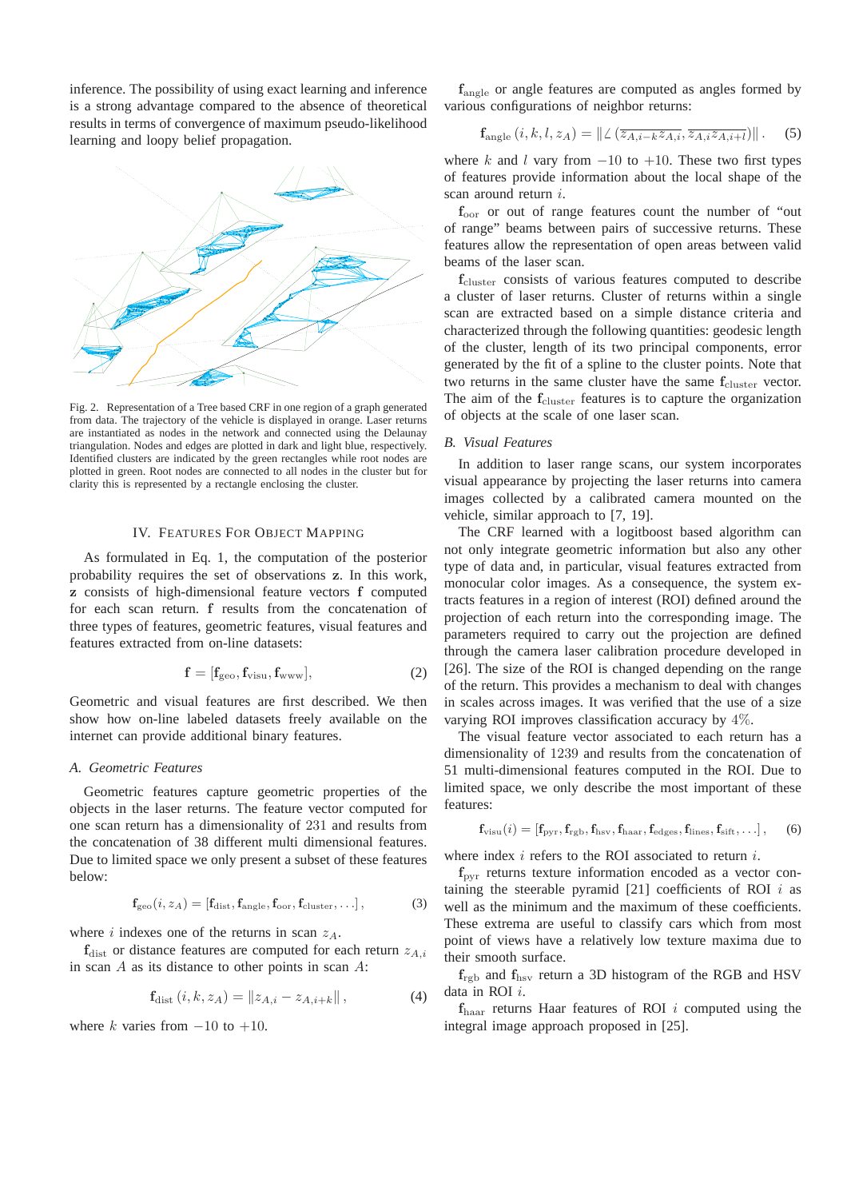inference. The possibility of using exact learning and inference is a strong advantage compared to the absence of theoretical results in terms of convergence of maximum pseudo-likelihood learning and loopy belief propagation.



Fig. 2. Representation of a Tree based CRF in one region of a graph generated from data. The trajectory of the vehicle is displayed in orange. Laser returns are instantiated as nodes in the network and connected using the Delaunay triangulation. Nodes and edges are plotted in dark and light blue, respectively. Identified clusters are indicated by the green rectangles while root nodes are plotted in green. Root nodes are connected to all nodes in the cluster but for clarity this is represented by a rectangle enclosing the cluster.

# IV. FEATURES FOR OBJECT MAPPING

As formulated in Eq. 1, the computation of the posterior probability requires the set of observations z. In this work, z consists of high-dimensional feature vectors f computed for each scan return. f results from the concatenation of three types of features, geometric features, visual features and features extracted from on-line datasets:

$$
\mathbf{f} = [\mathbf{f}_{\text{geo}}, \mathbf{f}_{\text{visu}}, \mathbf{f}_{\text{www}}], \tag{2}
$$

Geometric and visual features are first described. We then show how on-line labeled datasets freely available on the internet can provide additional binary features.

# *A. Geometric Features*

Geometric features capture geometric properties of the objects in the laser returns. The feature vector computed for one scan return has a dimensionality of 231 and results from the concatenation of 38 different multi dimensional features. Due to limited space we only present a subset of these features below:

$$
\mathbf{f}_{\text{geo}}(i, z_A) = [\mathbf{f}_{\text{dist}}, \mathbf{f}_{\text{angle}}, \mathbf{f}_{\text{cor}}, \mathbf{f}_{\text{cluster}}, \ldots], \tag{3}
$$

where i indexes one of the returns in scan  $z_A$ .

 $f_{\text{dist}}$  or distance features are computed for each return  $z_{A,i}$ in scan A as its distance to other points in scan A:

$$
\mathbf{f}_{\text{dist}}\left(i,k,z_A\right) = \|z_{A,i} - z_{A,i+k}\|,\tag{4}
$$

where k varies from  $-10$  to  $+10$ .

f<sub>angle</sub> or angle features are computed as angles formed by various configurations of neighbor returns:

$$
\mathbf{f}_{\text{angle}}\left(i, k, l, z_A\right) = \|\angle \left(\overline{z_{A,i-k}z_{A,i}}, \overline{z_{A,i}z_{A,i+l}}\right)\|.
$$
 (5)

where k and l vary from  $-10$  to  $+10$ . These two first types of features provide information about the local shape of the scan around return i.

 $f_{\text{oor}}$  or out of range features count the number of "out" of range" beams between pairs of successive returns. These features allow the representation of open areas between valid beams of the laser scan.

fcluster consists of various features computed to describe a cluster of laser returns. Cluster of returns within a single scan are extracted based on a simple distance criteria and characterized through the following quantities: geodesic length of the cluster, length of its two principal components, error generated by the fit of a spline to the cluster points. Note that two returns in the same cluster have the same  $f_{cluster}$  vector. The aim of the  $f_{cluster}$  features is to capture the organization of objects at the scale of one laser scan.

## *B. Visual Features*

In addition to laser range scans, our system incorporates visual appearance by projecting the laser returns into camera images collected by a calibrated camera mounted on the vehicle, similar approach to [7, 19].

The CRF learned with a logitboost based algorithm can not only integrate geometric information but also any other type of data and, in particular, visual features extracted from monocular color images. As a consequence, the system extracts features in a region of interest (ROI) defined around the projection of each return into the corresponding image. The parameters required to carry out the projection are defined through the camera laser calibration procedure developed in [26]. The size of the ROI is changed depending on the range of the return. This provides a mechanism to deal with changes in scales across images. It was verified that the use of a size varying ROI improves classification accuracy by 4%.

The visual feature vector associated to each return has a dimensionality of 1239 and results from the concatenation of 51 multi-dimensional features computed in the ROI. Due to limited space, we only describe the most important of these features:

$$
\mathbf{f}_{\mathrm{visu}}(i) = [\mathbf{f}_{\mathrm{pyr}}, \mathbf{f}_{\mathrm{rgb}}, \mathbf{f}_{\mathrm{hsv}}, \mathbf{f}_{\mathrm{haar}}, \mathbf{f}_{\mathrm{edges}}, \mathbf{f}_{\mathrm{lines}}, \mathbf{f}_{\mathrm{sift}}, \ldots], \quad (6)
$$

where index  $i$  refers to the ROI associated to return  $i$ .

 $f_{\text{pvr}}$  returns texture information encoded as a vector containing the steerable pyramid  $[21]$  coefficients of ROI i as well as the minimum and the maximum of these coefficients. These extrema are useful to classify cars which from most point of views have a relatively low texture maxima due to their smooth surface.

 $f_{\text{rgb}}$  and  $f_{\text{hsv}}$  return a 3D histogram of the RGB and HSV data in ROI i.

 $f_{\text{haar}}$  returns Haar features of ROI i computed using the integral image approach proposed in [25].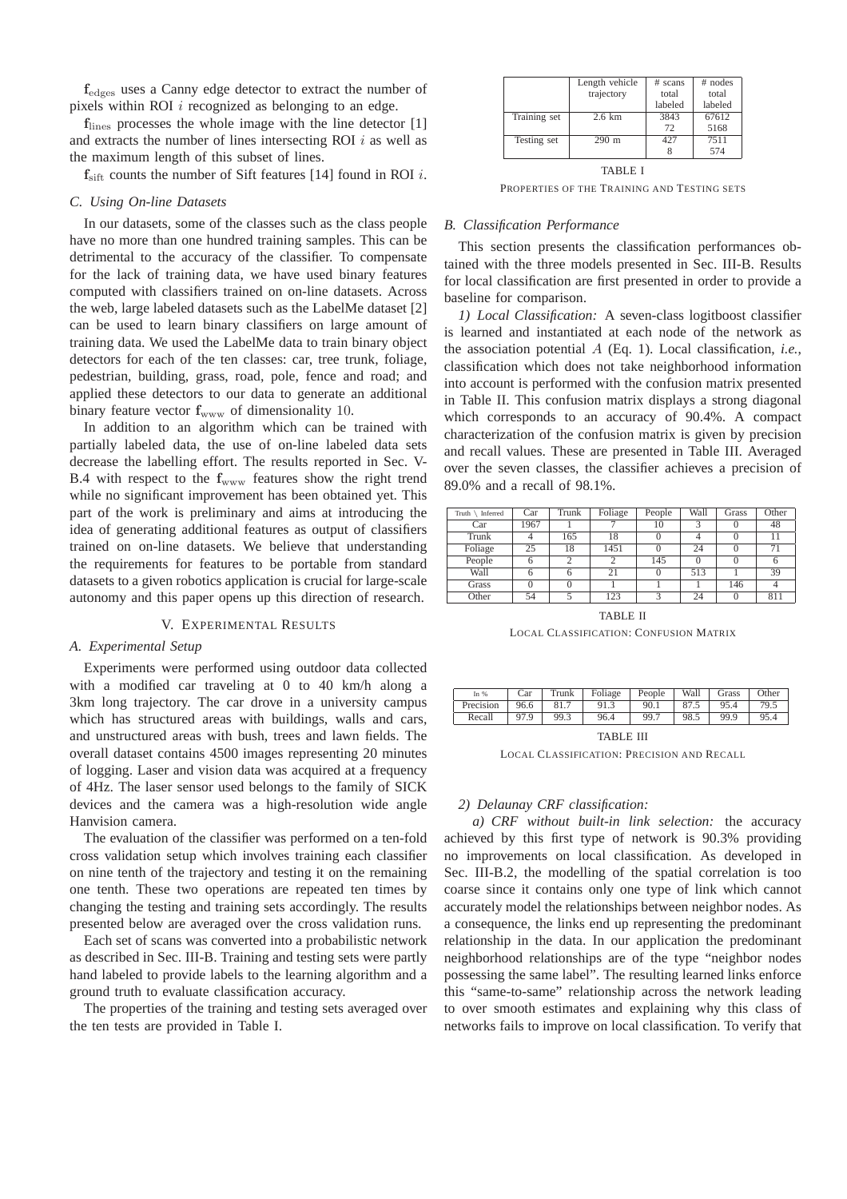fedges uses a Canny edge detector to extract the number of pixels within ROI  $i$  recognized as belonging to an edge.

 $f_{\text{lines}}$  processes the whole image with the line detector [1] and extracts the number of lines intersecting ROI  $i$  as well as the maximum length of this subset of lines.

 $f_{\text{sift}}$  counts the number of Sift features [14] found in ROI *i*.

#### *C. Using On-line Datasets*

In our datasets, some of the classes such as the class people have no more than one hundred training samples. This can be detrimental to the accuracy of the classifier. To compensate for the lack of training data, we have used binary features computed with classifiers trained on on-line datasets. Across the web, large labeled datasets such as the LabelMe dataset [2] can be used to learn binary classifiers on large amount of training data. We used the LabelMe data to train binary object detectors for each of the ten classes: car, tree trunk, foliage, pedestrian, building, grass, road, pole, fence and road; and applied these detectors to our data to generate an additional binary feature vector  $f_{www}$  of dimensionality 10.

In addition to an algorithm which can be trained with partially labeled data, the use of on-line labeled data sets decrease the labelling effort. The results reported in Sec. V-B.4 with respect to the  $f_{www}$  features show the right trend while no significant improvement has been obtained yet. This part of the work is preliminary and aims at introducing the idea of generating additional features as output of classifiers trained on on-line datasets. We believe that understanding the requirements for features to be portable from standard datasets to a given robotics application is crucial for large-scale autonomy and this paper opens up this direction of research.

#### V. EXPERIMENTAL RESULTS

# *A. Experimental Setup*

Experiments were performed using outdoor data collected with a modified car traveling at 0 to 40 km/h along a 3km long trajectory. The car drove in a university campus which has structured areas with buildings, walls and cars, and unstructured areas with bush, trees and lawn fields. The overall dataset contains 4500 images representing 20 minutes of logging. Laser and vision data was acquired at a frequency of 4Hz. The laser sensor used belongs to the family of SICK devices and the camera was a high-resolution wide angle Hanvision camera.

The evaluation of the classifier was performed on a ten-fold cross validation setup which involves training each classifier on nine tenth of the trajectory and testing it on the remaining one tenth. These two operations are repeated ten times by changing the testing and training sets accordingly. The results presented below are averaged over the cross validation runs.

Each set of scans was converted into a probabilistic network as described in Sec. III-B. Training and testing sets were partly hand labeled to provide labels to the learning algorithm and a ground truth to evaluate classification accuracy.

The properties of the training and testing sets averaged over the ten tests are provided in Table I.

|              | Length vehicle   | # scans | $#$ nodes |
|--------------|------------------|---------|-----------|
|              | trajectory       | total   | total     |
|              |                  | labeled | labeled   |
| Training set | $2.6 \text{ km}$ | 3843    | 67612     |
|              |                  | 72      | 5168      |
| Testing set  | $290 \text{ m}$  | 427     | 7511      |
|              |                  |         | 574       |
|              |                  |         |           |

TABLE I

PROPERTIES OF THE TRAINING AND TESTING SETS

# *B. Classification Performance*

This section presents the classification performances obtained with the three models presented in Sec. III-B. Results for local classification are first presented in order to provide a baseline for comparison.

*1) Local Classification:* A seven-class logitboost classifier is learned and instantiated at each node of the network as the association potential A (Eq. 1). Local classification, *i.e.*, classification which does not take neighborhood information into account is performed with the confusion matrix presented in Table II. This confusion matrix displays a strong diagonal which corresponds to an accuracy of 90.4%. A compact characterization of the confusion matrix is given by precision and recall values. These are presented in Table III. Averaged over the seven classes, the classifier achieves a precision of 89.0% and a recall of 98.1%.

| Truth \ Inferred | Car  | Trunk         | Foliage | People | Wall | Grass | Other  |
|------------------|------|---------------|---------|--------|------|-------|--------|
| Car              | 1967 |               |         | 10     |      |       | 48     |
| Trunk            |      | 165           | 18      |        |      |       | 11     |
| Foliage          | 25   | 18            | 1451    |        | 24   |       | $\tau$ |
| People           | 6    | $\mathcal{D}$ |         | 145    |      |       |        |
| <b>Wall</b>      |      | 6             | 21      |        | 513  |       | 39     |
| Grass            |      |               |         |        |      | 146   |        |
| Other            | 54   |               | 123     |        | 24   |       | 811    |

TABLE II

| LOCAL CLASSIFICATION: CONFUSION MATRIX |  |  |
|----------------------------------------|--|--|
|----------------------------------------|--|--|

| In %      | Car  | Trunk | Foliage | People | Wall | Grass | Other |
|-----------|------|-------|---------|--------|------|-------|-------|
| Precision | 96.6 | 81.7  | 91.3    | 90.1   |      | 95.4  | 79.5  |
| Recall    | Q7 Q | 99.3  | 96.4    | 99.7   | 98.5 | 99.9  | 95.4  |

TABLE III

LOCAL CLASSIFICATION: PRECISION AND RECALL

# *2) Delaunay CRF classification:*

*a) CRF without built-in link selection:* the accuracy achieved by this first type of network is 90.3% providing no improvements on local classification. As developed in Sec. III-B.2, the modelling of the spatial correlation is too coarse since it contains only one type of link which cannot accurately model the relationships between neighbor nodes. As a consequence, the links end up representing the predominant relationship in the data. In our application the predominant neighborhood relationships are of the type "neighbor nodes possessing the same label". The resulting learned links enforce this "same-to-same" relationship across the network leading to over smooth estimates and explaining why this class of networks fails to improve on local classification. To verify that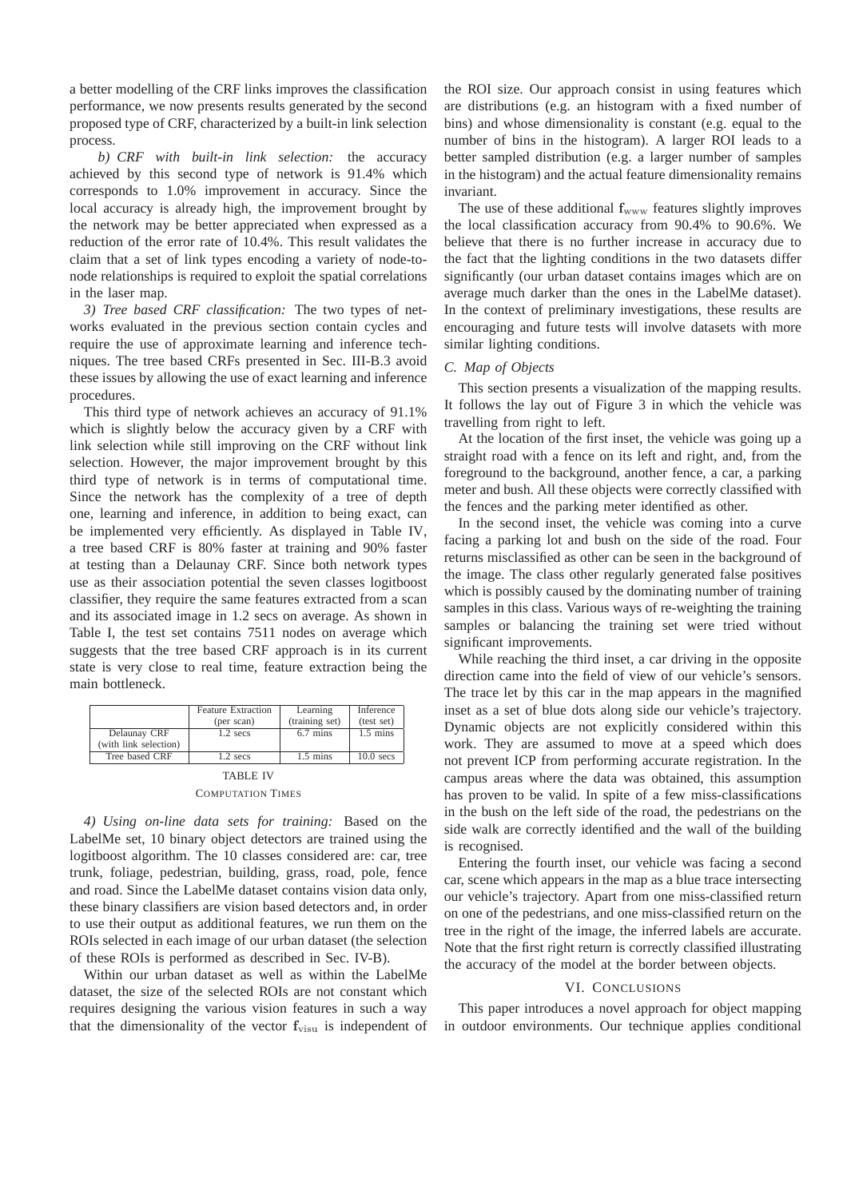a better modelling of the CRF links improves the classification performance, we now presents results generated by the second proposed type of CRF, characterized by a built-in link selection process.

*b) CRF with built-in link selection:* the accuracy achieved by this second type of network is 91.4% which corresponds to 1.0% improvement in accuracy. Since the local accuracy is already high, the improvement brought by the network may be better appreciated when expressed as a reduction of the error rate of 10.4%. This result validates the claim that a set of link types encoding a variety of node-tonode relationships is required to exploit the spatial correlations in the laser map.

*3) Tree based CRF classification:* The two types of networks evaluated in the previous section contain cycles and require the use of approximate learning and inference techniques. The tree based CRFs presented in Sec. III-B.3 avoid these issues by allowing the use of exact learning and inference procedures.

This third type of network achieves an accuracy of 91.1% which is slightly below the accuracy given by a CRF with link selection while still improving on the CRF without link selection. However, the major improvement brought by this third type of network is in terms of computational time. Since the network has the complexity of a tree of depth one, learning and inference, in addition to being exact, can be implemented very efficiently. As displayed in Table IV, a tree based CRF is 80% faster at training and 90% faster at testing than a Delaunay CRF. Since both network types use as their association potential the seven classes logitboost classifier, they require the same features extracted from a scan and its associated image in 1.2 secs on average. As shown in Table I, the test set contains 7511 nodes on average which suggests that the tree based CRF approach is in its current state is very close to real time, feature extraction being the main bottleneck.

|                                       | Feature Extraction | Learning<br>(training set) | Inference          |  |  |  |
|---------------------------------------|--------------------|----------------------------|--------------------|--|--|--|
|                                       | (per scan)         |                            | (test set)         |  |  |  |
| Delaunay CRF<br>(with link selection) | $1.2$ secs         | $6.7$ mins                 | $1.5 \text{ mins}$ |  |  |  |
| Tree based CRF                        | $1.2 \text{ secs}$ | $1.5 \text{ mins}$         | $10.0$ secs        |  |  |  |
| <b>TABLE IV</b>                       |                    |                            |                    |  |  |  |

# COMPUTATION TIMES

*4) Using on-line data sets for training:* Based on the LabelMe set, 10 binary object detectors are trained using the logitboost algorithm. The 10 classes considered are: car, tree trunk, foliage, pedestrian, building, grass, road, pole, fence and road. Since the LabelMe dataset contains vision data only, these binary classifiers are vision based detectors and, in order to use their output as additional features, we run them on the ROIs selected in each image of our urban dataset (the selection of these ROIs is performed as described in Sec. IV-B).

Within our urban dataset as well as within the LabelMe dataset, the size of the selected ROIs are not constant which requires designing the various vision features in such a way that the dimensionality of the vector  $f_{\text{visu}}$  is independent of the ROI size. Our approach consist in using features which are distributions (e.g. an histogram with a fixed number of bins) and whose dimensionality is constant (e.g. equal to the number of bins in the histogram). A larger ROI leads to a better sampled distribution (e.g. a larger number of samples in the histogram) and the actual feature dimensionality remains invariant.

The use of these additional  $f_{www}$  features slightly improves the local classification accuracy from 90.4% to 90.6%. We believe that there is no further increase in accuracy due to the fact that the lighting conditions in the two datasets differ significantly (our urban dataset contains images which are on average much darker than the ones in the LabelMe dataset). In the context of preliminary investigations, these results are encouraging and future tests will involve datasets with more similar lighting conditions.

# *C. Map of Objects*

This section presents a visualization of the mapping results. It follows the lay out of Figure 3 in which the vehicle was travelling from right to left.

At the location of the first inset, the vehicle was going up a straight road with a fence on its left and right, and, from the foreground to the background, another fence, a car, a parking meter and bush. All these objects were correctly classified with the fences and the parking meter identified as other.

In the second inset, the vehicle was coming into a curve facing a parking lot and bush on the side of the road. Four returns misclassified as other can be seen in the background of the image. The class other regularly generated false positives which is possibly caused by the dominating number of training samples in this class. Various ways of re-weighting the training samples or balancing the training set were tried without significant improvements.

While reaching the third inset, a car driving in the opposite direction came into the field of view of our vehicle's sensors. The trace let by this car in the map appears in the magnified inset as a set of blue dots along side our vehicle's trajectory. Dynamic objects are not explicitly considered within this work. They are assumed to move at a speed which does not prevent ICP from performing accurate registration. In the campus areas where the data was obtained, this assumption has proven to be valid. In spite of a few miss-classifications in the bush on the left side of the road, the pedestrians on the side walk are correctly identified and the wall of the building is recognised.

Entering the fourth inset, our vehicle was facing a second car, scene which appears in the map as a blue trace intersecting our vehicle's trajectory. Apart from one miss-classified return on one of the pedestrians, and one miss-classified return on the tree in the right of the image, the inferred labels are accurate. Note that the first right return is correctly classified illustrating the accuracy of the model at the border between objects.

# VI. CONCLUSIONS

This paper introduces a novel approach for object mapping in outdoor environments. Our technique applies conditional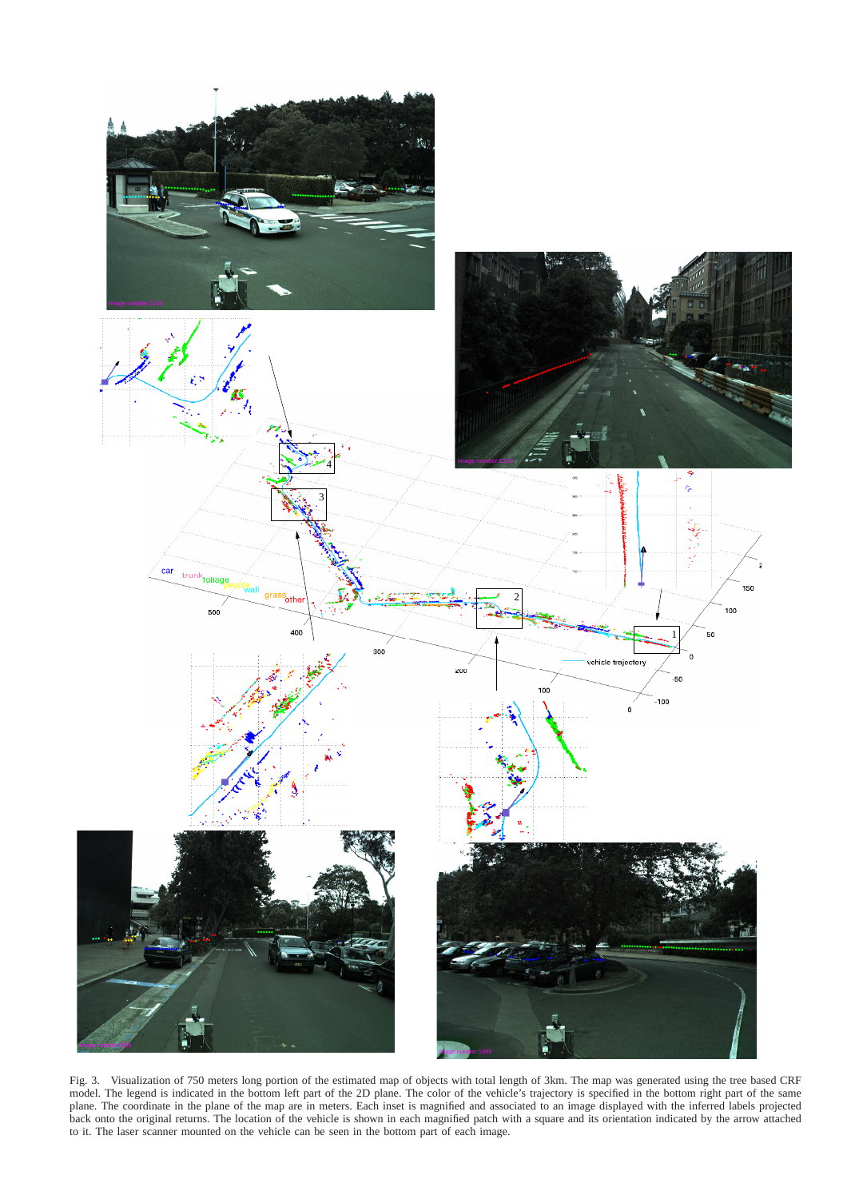



image number:2058





Fig. 3. Visualization of 750 meters long portion of the estimated map of objects with total length of 3km. The map was generated using the tree based CRF model. The legend is indicated in the bottom left part of the 2D plane. The color of the vehicle's trajectory is specified in the bottom right part of the same plane. The coordinate in the plane of the map are in meters. Each inset is magnified and associated to an image displayed with the inferred labels projected back onto the original returns. The location of the vehicle is shown in each magnified patch with a square and its orientation indicated by the arrow attached to it. The laser scanner mounted on the vehicle can be seen in the bottom part of each image.